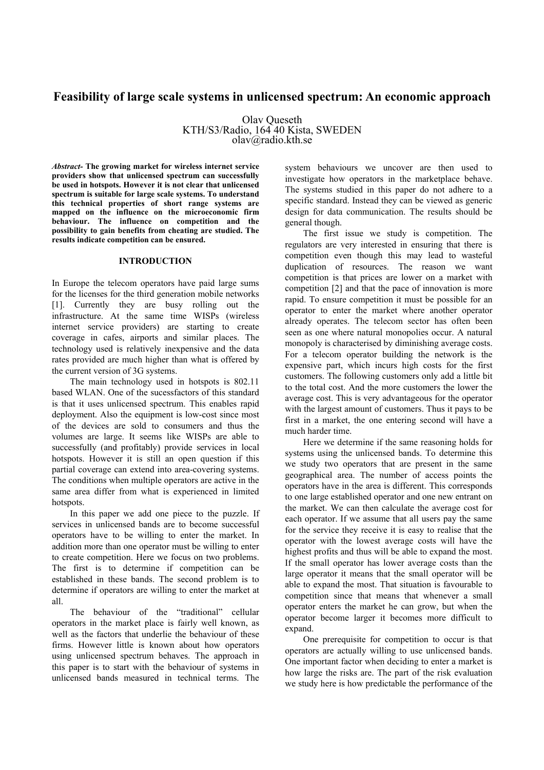# **Feasibility of large scale systems in unlicensed spectrum: An economic approach**

Olav Queseth KTH/S3/Radio, 164 40 Kista, SWEDEN olav@radio.kth.se

*Abstract-* **The growing market for wireless internet service providers show that unlicensed spectrum can successfully be used in hotspots. However it is not clear that unlicensed spectrum is suitable for large scale systems. To understand this technical properties of short range systems are mapped on the influence on the microeconomic firm behaviour. The influence on competition and the possibility to gain benefits from cheating are studied. The results indicate competition can be ensured.** 

# **INTRODUCTION**

In Europe the telecom operators have paid large sums for the licenses for the third generation mobile networks [1]. Currently they are busy rolling out the infrastructure. At the same time WISPs (wireless internet service providers) are starting to create coverage in cafes, airports and similar places. The technology used is relatively inexpensive and the data rates provided are much higher than what is offered by the current version of 3G systems.

The main technology used in hotspots is 802.11 based WLAN. One of the sucessfactors of this standard is that it uses unlicensed spectrum. This enables rapid deployment. Also the equipment is low-cost since most of the devices are sold to consumers and thus the volumes are large. It seems like WISPs are able to successfully (and profitably) provide services in local hotspots. However it is still an open question if this partial coverage can extend into area-covering systems. The conditions when multiple operators are active in the same area differ from what is experienced in limited hotspots.

In this paper we add one piece to the puzzle. If services in unlicensed bands are to become successful operators have to be willing to enter the market. In addition more than one operator must be willing to enter to create competition. Here we focus on two problems. The first is to determine if competition can be established in these bands. The second problem is to determine if operators are willing to enter the market at all.

The behaviour of the "traditional" cellular operators in the market place is fairly well known, as well as the factors that underlie the behaviour of these firms. However little is known about how operators using unlicensed spectrum behaves. The approach in this paper is to start with the behaviour of systems in unlicensed bands measured in technical terms. The system behaviours we uncover are then used to investigate how operators in the marketplace behave. The systems studied in this paper do not adhere to a specific standard. Instead they can be viewed as generic design for data communication. The results should be general though.

The first issue we study is competition. The regulators are very interested in ensuring that there is competition even though this may lead to wasteful duplication of resources. The reason we want competition is that prices are lower on a market with competition [2] and that the pace of innovation is more rapid. To ensure competition it must be possible for an operator to enter the market where another operator already operates. The telecom sector has often been seen as one where natural monopolies occur. A natural monopoly is characterised by diminishing average costs. For a telecom operator building the network is the expensive part, which incurs high costs for the first customers. The following customers only add a little bit to the total cost. And the more customers the lower the average cost. This is very advantageous for the operator with the largest amount of customers. Thus it pays to be first in a market, the one entering second will have a much harder time.

Here we determine if the same reasoning holds for systems using the unlicensed bands. To determine this we study two operators that are present in the same geographical area. The number of access points the operators have in the area is different. This corresponds to one large established operator and one new entrant on the market. We can then calculate the average cost for each operator. If we assume that all users pay the same for the service they receive it is easy to realise that the operator with the lowest average costs will have the highest profits and thus will be able to expand the most. If the small operator has lower average costs than the large operator it means that the small operator will be able to expand the most. That situation is favourable to competition since that means that whenever a small operator enters the market he can grow, but when the operator become larger it becomes more difficult to expand.

One prerequisite for competition to occur is that operators are actually willing to use unlicensed bands. One important factor when deciding to enter a market is how large the risks are. The part of the risk evaluation we study here is how predictable the performance of the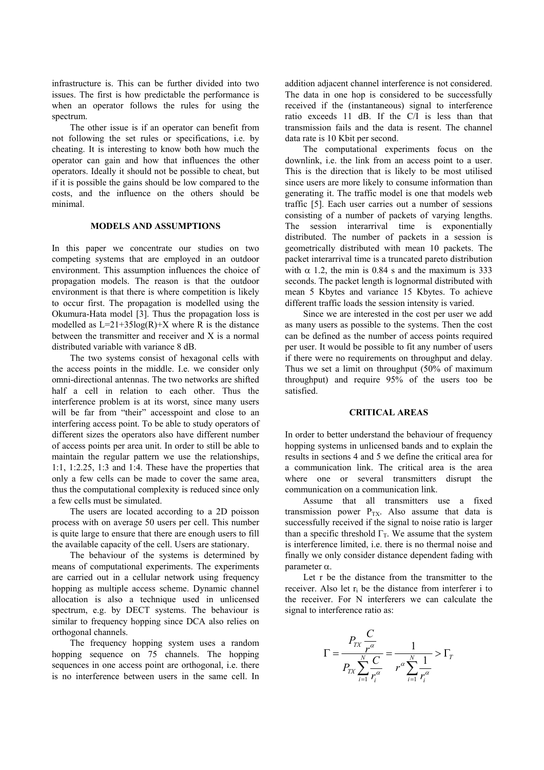infrastructure is. This can be further divided into two issues. The first is how predictable the performance is when an operator follows the rules for using the spectrum.

The other issue is if an operator can benefit from not following the set rules or specifications, i.e. by cheating. It is interesting to know both how much the operator can gain and how that influences the other operators. Ideally it should not be possible to cheat, but if it is possible the gains should be low compared to the costs, and the influence on the others should be minimal.

# **MODELS AND ASSUMPTIONS**

In this paper we concentrate our studies on two competing systems that are employed in an outdoor environment. This assumption influences the choice of propagation models. The reason is that the outdoor environment is that there is where competition is likely to occur first. The propagation is modelled using the Okumura-Hata model [3]. Thus the propagation loss is modelled as  $L=21+35\log(R)+X$  where R is the distance between the transmitter and receiver and X is a normal distributed variable with variance 8 dB.

The two systems consist of hexagonal cells with the access points in the middle. I.e. we consider only omni-directional antennas. The two networks are shifted half a cell in relation to each other. Thus the interference problem is at its worst, since many users will be far from "their" accesspoint and close to an interfering access point. To be able to study operators of different sizes the operators also have different number of access points per area unit. In order to still be able to maintain the regular pattern we use the relationships, 1:1, 1:2.25, 1:3 and 1:4. These have the properties that only a few cells can be made to cover the same area, thus the computational complexity is reduced since only a few cells must be simulated.

The users are located according to a 2D poisson process with on average 50 users per cell. This number is quite large to ensure that there are enough users to fill the available capacity of the cell. Users are stationary.

The behaviour of the systems is determined by means of computational experiments. The experiments are carried out in a cellular network using frequency hopping as multiple access scheme. Dynamic channel allocation is also a technique used in unlicensed spectrum, e.g. by DECT systems. The behaviour is similar to frequency hopping since DCA also relies on orthogonal channels.

The frequency hopping system uses a random hopping sequence on 75 channels. The hopping sequences in one access point are orthogonal, i.e. there is no interference between users in the same cell. In addition adjacent channel interference is not considered. The data in one hop is considered to be successfully received if the (instantaneous) signal to interference ratio exceeds 11 dB. If the C/I is less than that transmission fails and the data is resent. The channel data rate is 10 Kbit per second.

The computational experiments focus on the downlink, i.e. the link from an access point to a user. This is the direction that is likely to be most utilised since users are more likely to consume information than generating it. The traffic model is one that models web traffic [5]. Each user carries out a number of sessions consisting of a number of packets of varying lengths. The session interarrival time is exponentially distributed. The number of packets in a session is geometrically distributed with mean 10 packets. The packet interarrival time is a truncated pareto distribution with  $\alpha$  1.2, the min is 0.84 s and the maximum is 333 seconds. The packet length is lognormal distributed with mean 5 Kbytes and variance 15 Kbytes. To achieve different traffic loads the session intensity is varied.

Since we are interested in the cost per user we add as many users as possible to the systems. Then the cost can be defined as the number of access points required per user. It would be possible to fit any number of users if there were no requirements on throughput and delay. Thus we set a limit on throughput (50% of maximum throughput) and require 95% of the users too be satisfied.

#### **CRITICAL AREAS**

In order to better understand the behaviour of frequency hopping systems in unlicensed bands and to explain the results in sections 4 and 5 we define the critical area for a communication link. The critical area is the area where one or several transmitters disrupt the communication on a communication link.

Assume that all transmitters use a fixed transmission power  $P_{TX}$ . Also assume that data is successfully received if the signal to noise ratio is larger than a specific threshold  $\Gamma$ <sub>T</sub>. We assume that the system is interference limited, i.e. there is no thermal noise and finally we only consider distance dependent fading with parameter α.

Let r be the distance from the transmitter to the receiver. Also let ri be the distance from interferer i to the receiver. For N interferers we can calculate the signal to interference ratio as:

$$
\Gamma = \frac{P_{TX} \frac{C}{r^{\alpha}}}{P_{TX} \sum_{i=1}^{N} \frac{C}{r_i^{\alpha}}} = \frac{1}{r^{\alpha} \sum_{i=1}^{N} \frac{1}{r_i^{\alpha}}} > \Gamma_T
$$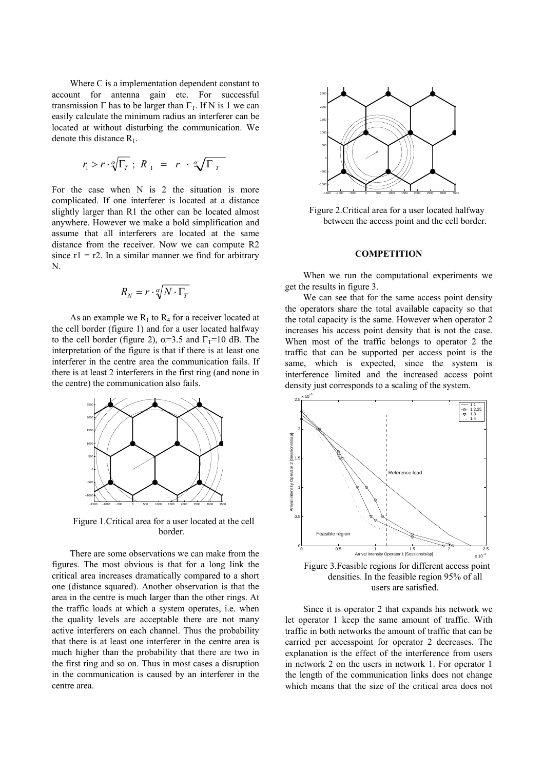Where C is a implementation dependent constant to account for antenna gain etc. For successful transmission Γ has to be larger than  $\Gamma_{\text{L}}$ . If N is 1 we can easily calculate the minimum radius an interferer can be located at without disturbing the communication. We denote this distance  $R_1$ .

$$
r_1 > r \cdot \sqrt[\alpha]{\Gamma_T} \ ; \ R_1 = r \cdot \sqrt[\alpha]{\Gamma_T}
$$

For the case when N is 2 the situation is more complicated. If one interferer is located at a distance slightly larger than R1 the other can be located almost anywhere. However we make a bold simplification and assume that all interferers are located at the same distance from the receiver. Now we can compute R2 since  $r1 = r2$ . In a similar manner we find for arbitrary N.

$$
R_N = r \cdot \sqrt[\alpha]{N \cdot \Gamma_T}
$$

As an example we  $R_1$  to  $R_4$  for a receiver located at the cell border (figure 1) and for a user located halfway to the cell border (figure 2),  $\alpha=3.5$  and  $\Gamma_T=10$  dB. The interpretation of the figure is that if there is at least one interferer in the centre area the communication fails. If there is at least 2 interferers in the first ring (and none in the centre) the communication also fails.



Figure 1.Critical area for a user located at the cell border.

There are some observations we can make from the figures. The most obvious is that for a long link the critical area increases dramatically compared to a short one (distance squared). Another observation is that the area in the centre is much larger than the other rings. At the traffic loads at which a system operates, i.e. when the quality levels are acceptable there are not many active interferers on each channel. Thus the probability that there is at least one interferer in the centre area is much higher than the probability that there are two in the first ring and so on. Thus in most cases a disruption in the communication is caused by an interferer in the centre area.



Figure 2.Critical area for a user located halfway between the access point and the cell border.

#### **COMPETITION**

When we run the computational experiments we get the results in figure 3.

We can see that for the same access point density the operators share the total available capacity so that the total capacity is the same. However when operator 2 increases his access point density that is not the case. When most of the traffic belongs to operator 2 the traffic that can be supported per access point is the same, which is expected, since the system is interference limited and the increased access point density just corresponds to a scaling of the system.



Figure 3.Feasible regions for different access point densities. In the feasible region 95% of all users are satisfied.

Since it is operator 2 that expands his network we let operator 1 keep the same amount of traffic. With traffic in both networks the amount of traffic that can be carried per accesspoint for operator 2 decreases. The explanation is the effect of the interference from users in network 2 on the users in network 1. For operator 1 the length of the communication links does not change which means that the size of the critical area does not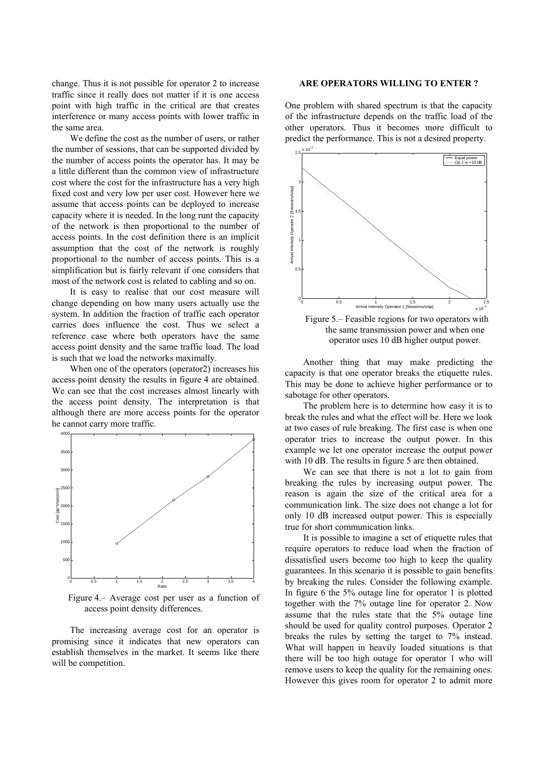change. Thus it is not possible for operator 2 to increase traffic since it really does not matter if it is one access point with high traffic in the critical are that creates interference or many access points with lower traffic in the same area.

We define the cost as the number of users, or rather the number of sessions, that can be supported divided by the number of access points the operator has. It may be a little different than the common view of infrastructure cost where the cost for the infrastructure has a very high fixed cost and very low per user cost. However here we assume that access points can be deployed to increase capacity where it is needed. In the long runt the capacity of the network is then proportional to the number of access points. In the cost definition there is an implicit assumption that the cost of the network is roughly proportional to the number of access points. This is a simplification but is fairly relevant if one considers that most of the network cost is related to cabling and so on.

It is easy to realise that our cost measure will change depending on how many users actually use the system. In addition the fraction of traffic each operator carries does influence the cost. Thus we select a reference case where both operators have the same access point density and the same traffic load. The load is such that we load the networks maximally.

When one of the operators (operator2) increases his access point density the results in figure 4 are obtained. We can see that the cost increases almost linearly with the access point density. The interpretation is that although there are more access points for the operator he cannot carry more traffic.



Figure 4.– Average cost per user as a function of access point density differences.

The increasing average cost for an operator is promising since it indicates that new operators can establish themselves in the market. It seems like there will be competition.

#### **ARE OPERATORS WILLING TO ENTER ?**

One problem with shared spectrum is that the capacity of the infrastructure depends on the traffic load of the other operators. Thus it becomes more difficult to predict the performance. This is not a desired property.



Figure 5.– Feasible regions for two operators with the same transmission power and when one operator uses 10 dB higher output power.

Another thing that may make predicting the capacity is that one operator breaks the etiquette rules. This may be done to achieve higher performance or to sabotage for other operators.

The problem here is to determine how easy it is to break the rules and what the effect will be. Here we look at two cases of rule breaking. The first case is when one operator tries to increase the output power. In this example we let one operator increase the output power with 10 dB. The results in figure 5 are then obtained.

We can see that there is not a lot to gain from breaking the rules by increasing output power. The reason is again the size of the critical area for a communication link. The size does not change a lot for only 10 dB increased output power. This is especially true for short communication links.

It is possible to imagine a set of etiquette rules that require operators to reduce load when the fraction of dissatisfied users become too high to keep the quality guarantees. In this scenario it is possible to gain benefits by breaking the rules. Consider the following example. In figure 6 the 5% outage line for operator 1 is plotted together with the 7% outage line for operator 2. Now assume that the rules state that the 5% outage line should be used for quality control purposes. Operator 2 breaks the rules by setting the target to 7% instead. What will happen in heavily loaded situations is that there will be too high outage for operator 1 who will remove users to keep the quality for the remaining ones. However this gives room for operator 2 to admit more